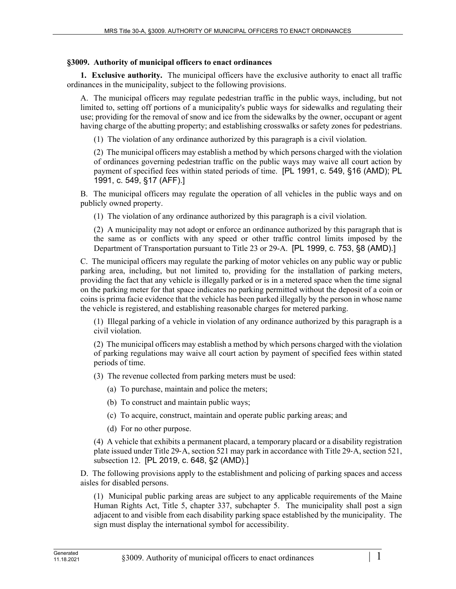## **§3009. Authority of municipal officers to enact ordinances**

**1. Exclusive authority.** The municipal officers have the exclusive authority to enact all traffic ordinances in the municipality, subject to the following provisions.

A. The municipal officers may regulate pedestrian traffic in the public ways, including, but not limited to, setting off portions of a municipality's public ways for sidewalks and regulating their use; providing for the removal of snow and ice from the sidewalks by the owner, occupant or agent having charge of the abutting property; and establishing crosswalks or safety zones for pedestrians.

(1) The violation of any ordinance authorized by this paragraph is a civil violation.

(2) The municipal officers may establish a method by which persons charged with the violation of ordinances governing pedestrian traffic on the public ways may waive all court action by payment of specified fees within stated periods of time. [PL 1991, c. 549, §16 (AMD); PL 1991, c. 549, §17 (AFF).]

B. The municipal officers may regulate the operation of all vehicles in the public ways and on publicly owned property.

(1) The violation of any ordinance authorized by this paragraph is a civil violation.

(2) A municipality may not adopt or enforce an ordinance authorized by this paragraph that is the same as or conflicts with any speed or other traffic control limits imposed by the Department of Transportation pursuant to Title 23 or 29-A. [PL 1999, c. 753, §8 (AMD).]

C. The municipal officers may regulate the parking of motor vehicles on any public way or public parking area, including, but not limited to, providing for the installation of parking meters, providing the fact that any vehicle is illegally parked or is in a metered space when the time signal on the parking meter for that space indicates no parking permitted without the deposit of a coin or coins is prima facie evidence that the vehicle has been parked illegally by the person in whose name the vehicle is registered, and establishing reasonable charges for metered parking.

(1) Illegal parking of a vehicle in violation of any ordinance authorized by this paragraph is a civil violation.

(2) The municipal officers may establish a method by which persons charged with the violation of parking regulations may waive all court action by payment of specified fees within stated periods of time.

(3) The revenue collected from parking meters must be used:

(a) To purchase, maintain and police the meters;

- (b) To construct and maintain public ways;
- (c) To acquire, construct, maintain and operate public parking areas; and
- (d) For no other purpose.

(4) A vehicle that exhibits a permanent placard, a temporary placard or a disability registration plate issued under Title 29‑A, section 521 may park in accordance with Title 29‑A, section 521, subsection 12. [PL 2019, c. 648, §2 (AMD).]

D. The following provisions apply to the establishment and policing of parking spaces and access aisles for disabled persons.

(1) Municipal public parking areas are subject to any applicable requirements of the Maine Human Rights Act, Title 5, chapter 337, subchapter 5. The municipality shall post a sign adjacent to and visible from each disability parking space established by the municipality. The sign must display the international symbol for accessibility.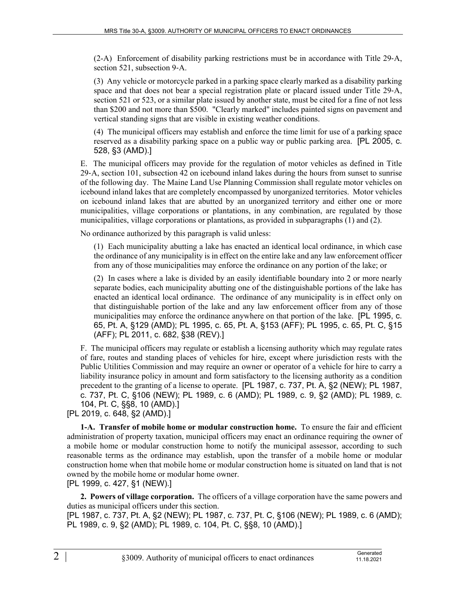(2-A) Enforcement of disability parking restrictions must be in accordance with Title 29‑A, section 521, subsection 9-A.

(3) Any vehicle or motorcycle parked in a parking space clearly marked as a disability parking space and that does not bear a special registration plate or placard issued under Title 29-A, section 521 or 523, or a similar plate issued by another state, must be cited for a fine of not less than \$200 and not more than \$500. "Clearly marked" includes painted signs on pavement and vertical standing signs that are visible in existing weather conditions.

(4) The municipal officers may establish and enforce the time limit for use of a parking space reserved as a disability parking space on a public way or public parking area. [PL 2005, c. 528, §3 (AMD).]

E. The municipal officers may provide for the regulation of motor vehicles as defined in Title 29‑A, section 101, subsection 42 on icebound inland lakes during the hours from sunset to sunrise of the following day. The Maine Land Use Planning Commission shall regulate motor vehicles on icebound inland lakes that are completely encompassed by unorganized territories. Motor vehicles on icebound inland lakes that are abutted by an unorganized territory and either one or more municipalities, village corporations or plantations, in any combination, are regulated by those municipalities, village corporations or plantations, as provided in subparagraphs (1) and (2).

No ordinance authorized by this paragraph is valid unless:

(1) Each municipality abutting a lake has enacted an identical local ordinance, in which case the ordinance of any municipality is in effect on the entire lake and any law enforcement officer from any of those municipalities may enforce the ordinance on any portion of the lake; or

(2) In cases where a lake is divided by an easily identifiable boundary into 2 or more nearly separate bodies, each municipality abutting one of the distinguishable portions of the lake has enacted an identical local ordinance. The ordinance of any municipality is in effect only on that distinguishable portion of the lake and any law enforcement officer from any of those municipalities may enforce the ordinance anywhere on that portion of the lake. [PL 1995, c. 65, Pt. A, §129 (AMD); PL 1995, c. 65, Pt. A, §153 (AFF); PL 1995, c. 65, Pt. C, §15 (AFF); PL 2011, c. 682, §38 (REV).]

F. The municipal officers may regulate or establish a licensing authority which may regulate rates of fare, routes and standing places of vehicles for hire, except where jurisdiction rests with the Public Utilities Commission and may require an owner or operator of a vehicle for hire to carry a liability insurance policy in amount and form satisfactory to the licensing authority as a condition precedent to the granting of a license to operate. [PL 1987, c. 737, Pt. A, §2 (NEW); PL 1987, c. 737, Pt. C, §106 (NEW); PL 1989, c. 6 (AMD); PL 1989, c. 9, §2 (AMD); PL 1989, c. 104, Pt. C, §§8, 10 (AMD).]

[PL 2019, c. 648, §2 (AMD).]

**1-A. Transfer of mobile home or modular construction home.** To ensure the fair and efficient administration of property taxation, municipal officers may enact an ordinance requiring the owner of a mobile home or modular construction home to notify the municipal assessor, according to such reasonable terms as the ordinance may establish, upon the transfer of a mobile home or modular construction home when that mobile home or modular construction home is situated on land that is not owned by the mobile home or modular home owner.

[PL 1999, c. 427, §1 (NEW).]

**2. Powers of village corporation.** The officers of a village corporation have the same powers and duties as municipal officers under this section.

[PL 1987, c. 737, Pt. A, §2 (NEW); PL 1987, c. 737, Pt. C, §106 (NEW); PL 1989, c. 6 (AMD); PL 1989, c. 9, §2 (AMD); PL 1989, c. 104, Pt. C, §§8, 10 (AMD).]